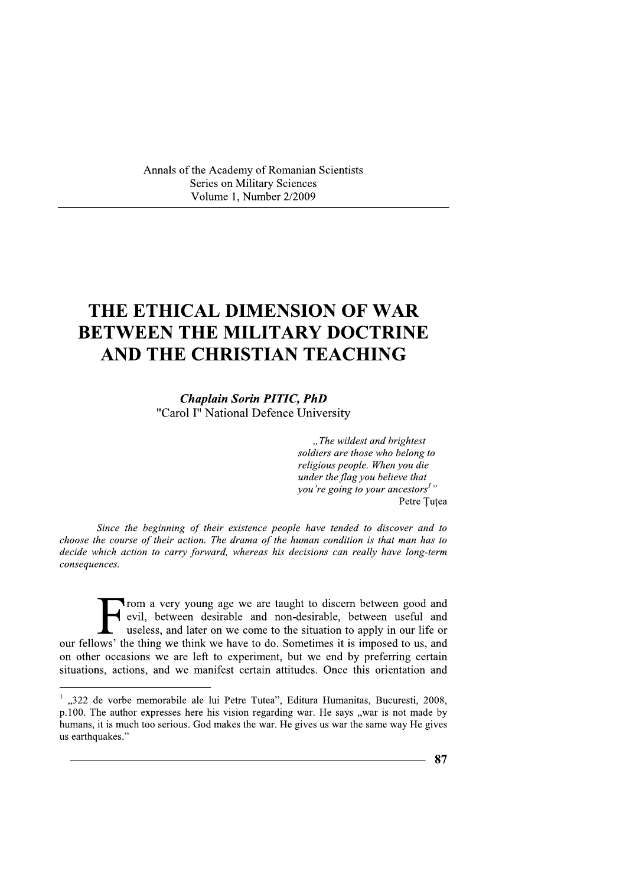Annals of the Academy of Romanian Scientists Series on Military Sciences Volume 1, Number 2/2009

# THE ETHICAL DIMENSION OF WAR **BETWEEN THE MILITARY DOCTRINE** AND THE CHRISTIAN TEACHING

**Chaplain Sorin PITIC, PhD** "Carol I" National Defence University

> "The wildest and brightest soldiers are those who belong to religious people. When you die under the flag you believe that you're going to your ancestors<sup>1</sup>" Petre Tutea

Since the beginning of their existence people have tended to discover and to choose the course of their action. The drama of the human condition is that man has to decide which action to carry forward, whereas his decisions can really have long-term consequences.

Trom a very young age we are taught to discern between good and<br>evil, between desirable and non-desirable, between useful and<br>useless, and later on we come to the situation to apply in our life or our fellows' the thing we think we have to do. Sometimes it is imposed to us, and on other occasions we are left to experiment, but we end by preferring certain situations, actions, and we manifest certain attitudes. Once this orientation and

 $\frac{1}{2}$ , 322 de vorbe memorabile ale lui Petre Tutea", Editura Humanitas, Bucuresti, 2008, p.100. The author expresses here his vision regarding war. He says "war is not made by humans, it is much too serious. God makes the war. He gives us war the same way He gives us earthquakes."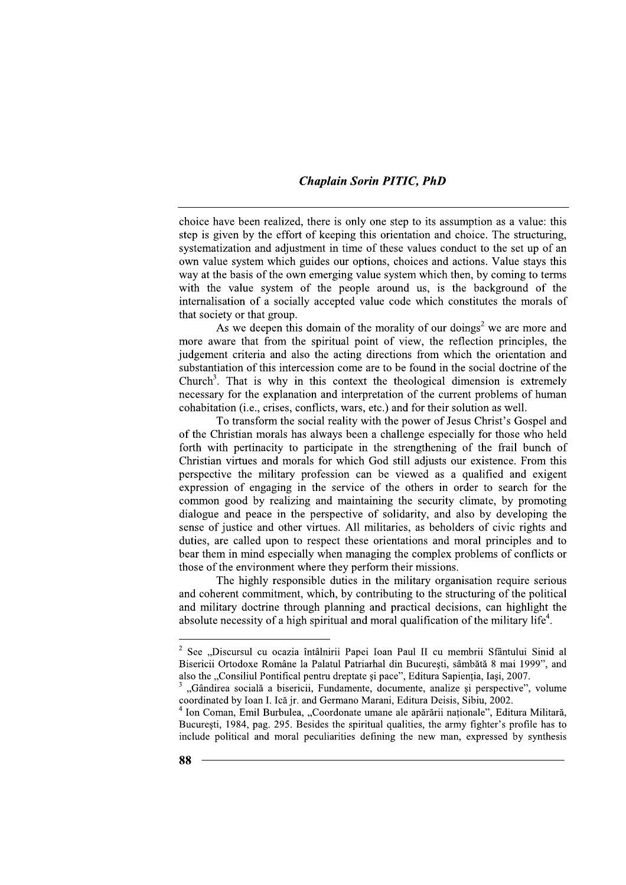choice have been realized, there is only one step to its assumption as a value: this step is given by the effort of keeping this orientation and choice. The structuring, systematization and adjustment in time of these values conduct to the set up of an own value system which guides our options, choices and actions. Value stays this way at the basis of the own emerging value system which then, by coming to terms with the value system of the people around us, is the background of the internalisation of a socially accepted value code which constitutes the morals of that society or that group.

As we deepen this domain of the morality of our doings<sup>2</sup> we are more and more aware that from the spiritual point of view, the reflection principles, the judgement criteria and also the acting directions from which the orientation and substantiation of this intercession come are to be found in the social doctrine of the Church<sup>3</sup>. That is why in this context the theological dimension is extremely necessary for the explanation and interpretation of the current problems of human cohabitation (i.e., crises, conflicts, wars, etc.) and for their solution as well.

To transform the social reality with the power of Jesus Christ's Gospel and of the Christian morals has always been a challenge especially for those who held forth with pertinacity to participate in the strengthening of the frail bunch of Christian virtues and morals for which God still adjusts our existence. From this perspective the military profession can be viewed as a qualified and exigent expression of engaging in the service of the others in order to search for the common good by realizing and maintaining the security climate, by promoting dialogue and peace in the perspective of solidarity, and also by developing the sense of justice and other virtues. All militaries, as beholders of civic rights and duties, are called upon to respect these orientations and moral principles and to bear them in mind especially when managing the complex problems of conflicts or those of the environment where they perform their missions.

The highly responsible duties in the military organisation require serious and coherent commitment, which, by contributing to the structuring of the political and military doctrine through planning and practical decisions, can highlight the absolute necessity of a high spiritual and moral qualification of the military life<sup>4</sup>.

<sup>&</sup>lt;sup>2</sup> See "Discursul cu ocazia întâlnirii Papei Ioan Paul II cu membrii Sfântului Sinid al Bisericii Ortodoxe Române la Palatul Patriarhal din Bucuresti, sâmbătă 8 mai 1999", and also the "Consiliul Pontifical pentru dreptate si pace", Editura Sapientia, Iasi, 2007.

<sup>&</sup>quot;Gândirea socială a bisericii, Fundamente, documente, analize si perspective", volume coordinated by Ioan I. Ică jr. and Germano Marani, Editura Deisis, Sibiu, 2002.

<sup>&</sup>lt;sup>4</sup> Ion Coman, Emil Burbulea, "Coordonate umane ale apărării naționale", Editura Militară, București, 1984, pag. 295. Besides the spiritual qualities, the army fighter's profile has to include political and moral peculiarities defining the new man, expressed by synthesis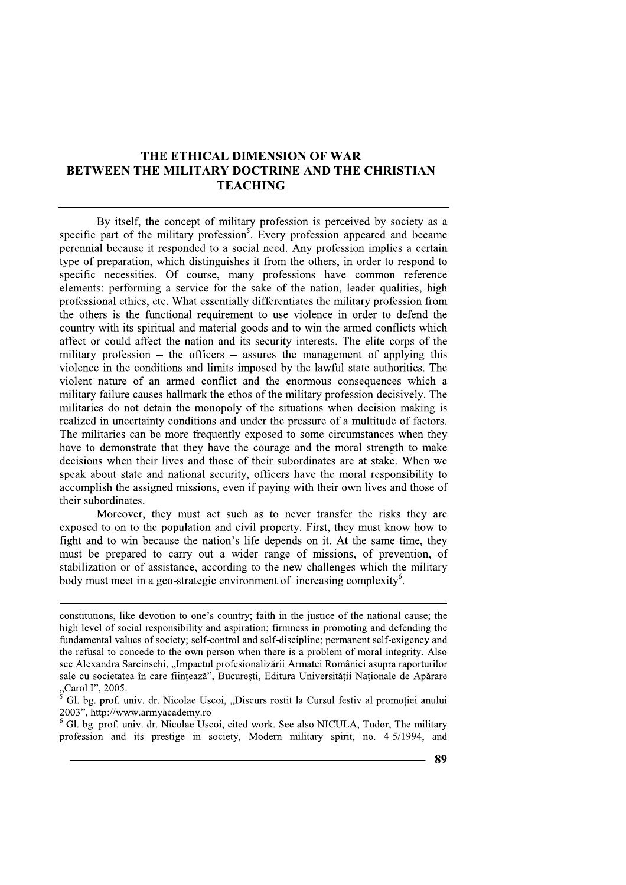## THE ETHICAL DIMENSION OF WAR **BETWEEN THE MILITARY DOCTRINE AND THE CHRISTIAN TEACHING**

By itself, the concept of military profession is perceived by society as a specific part of the military profession<sup>5</sup>. Every profession appeared and became perennial because it responded to a social need. Any profession implies a certain type of preparation, which distinguishes it from the others, in order to respond to specific necessities. Of course, many professions have common reference elements: performing a service for the sake of the nation, leader qualities, high professional ethics, etc. What essentially differentiates the military profession from the others is the functional requirement to use violence in order to defend the country with its spiritual and material goods and to win the armed conflicts which affect or could affect the nation and its security interests. The elite corps of the military profession  $-$  the officers  $-$  assures the management of applying this violence in the conditions and limits imposed by the lawful state authorities. The violent nature of an armed conflict and the enormous consequences which a military failure causes hallmark the ethos of the military profession decisively. The militaries do not detain the monopoly of the situations when decision making is realized in uncertainty conditions and under the pressure of a multitude of factors. The militaries can be more frequently exposed to some circumstances when they have to demonstrate that they have the courage and the moral strength to make decisions when their lives and those of their subordinates are at stake. When we speak about state and national security, officers have the moral responsibility to accomplish the assigned missions, even if paying with their own lives and those of their subordinates.

Moreover, they must act such as to never transfer the risks they are exposed to on to the population and civil property. First, they must know how to fight and to win because the nation's life depends on it. At the same time, they must be prepared to carry out a wider range of missions, of prevention, of stabilization or of assistance, according to the new challenges which the military body must meet in a geo-strategic environment of increasing complexity<sup>6</sup>.

 $6$  Gl. bg. prof. univ. dr. Nicolae Uscoi, cited work. See also NICULA, Tudor, The military profession and its prestige in society, Modern military spirit, no. 4-5/1994, and

constitutions, like devotion to one's country; faith in the justice of the national cause; the high level of social responsibility and aspiration; firmness in promoting and defending the fundamental values of society; self-control and self-discipline; permanent self-exigency and the refusal to concede to the own person when there is a problem of moral integrity. Also see Alexandra Sarcinschi, "Impactul profesionalizării Armatei României asupra raporturilor sale cu societatea în care fiintează", Bucuresti, Editura Universitătii Nationale de Apărare  $\frac{1}{2}$  societate<br>  $\frac{1}{2}$  Carol I", 2005.

Gl. bg. prof. univ. dr. Nicolae Uscoi, "Discurs rostit la Cursul festiv al promotiei anului 2003", http://www.armyacademy.ro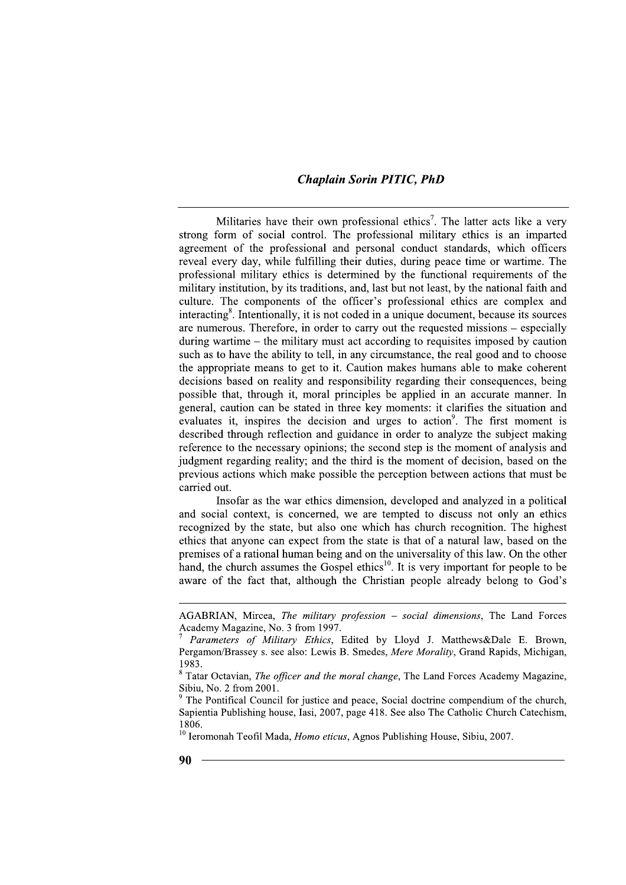Militaries have their own professional ethics<sup>7</sup>. The latter acts like a very strong form of social control. The professional military ethics is an imparted agreement of the professional and personal conduct standards, which officers reveal every day, while fulfilling their duties, during peace time or wartime. The professional military ethics is determined by the functional requirements of the military institution, by its traditions, and, last but not least, by the national faith and culture. The components of the officer's professional ethics are complex and interacting<sup>8</sup>. Intentionally, it is not coded in a unique document, because its sources are numerous. Therefore, in order to carry out the requested missions – especially during wartime  $-$  the military must act according to requisites imposed by caution such as to have the ability to tell, in any circumstance, the real good and to choose the appropriate means to get to it. Caution makes humans able to make coherent decisions based on reality and responsibility regarding their consequences, being possible that, through it, moral principles be applied in an accurate manner. In general, caution can be stated in three key moments: it clarifies the situation and evaluates it, inspires the decision and urges to action<sup>9</sup>. The first moment is described through reflection and guidance in order to analyze the subject making reference to the necessary opinions; the second step is the moment of analysis and judgment regarding reality; and the third is the moment of decision, based on the previous actions which make possible the perception between actions that must be carried out.

Insofar as the war ethics dimension, developed and analyzed in a political and social context, is concerned, we are tempted to discuss not only an ethics recognized by the state, but also one which has church recognition. The highest ethics that anyone can expect from the state is that of a natural law, based on the premises of a rational human being and on the universality of this law. On the other hand, the church assumes the Gospel ethics<sup>10</sup>. It is very important for people to be aware of the fact that, although the Christian people already belong to God's

AGABRIAN, Mircea, The military profession - social dimensions, The Land Forces Academy Magazine, No. 3 from 1997.

Parameters of Military Ethics, Edited by Lloyd J. Matthews&Dale E. Brown, Pergamon/Brassey s. see also: Lewis B. Smedes, Mere Morality, Grand Rapids, Michigan, 1983.

<sup>&</sup>lt;sup>8</sup> Tatar Octavian, *The officer and the moral change*, The Land Forces Academy Magazine, Sibiu, No. 2 from 2001.

<sup>&</sup>lt;sup>9</sup> The Pontifical Council for justice and peace, Social doctrine compendium of the church, Sapientia Publishing house, Iasi, 2007, page 418. See also The Catholic Church Catechism, 1806.

 $10$  Ieromonah Teofil Mada, *Homo eticus*, Agnos Publishing House, Sibiu, 2007.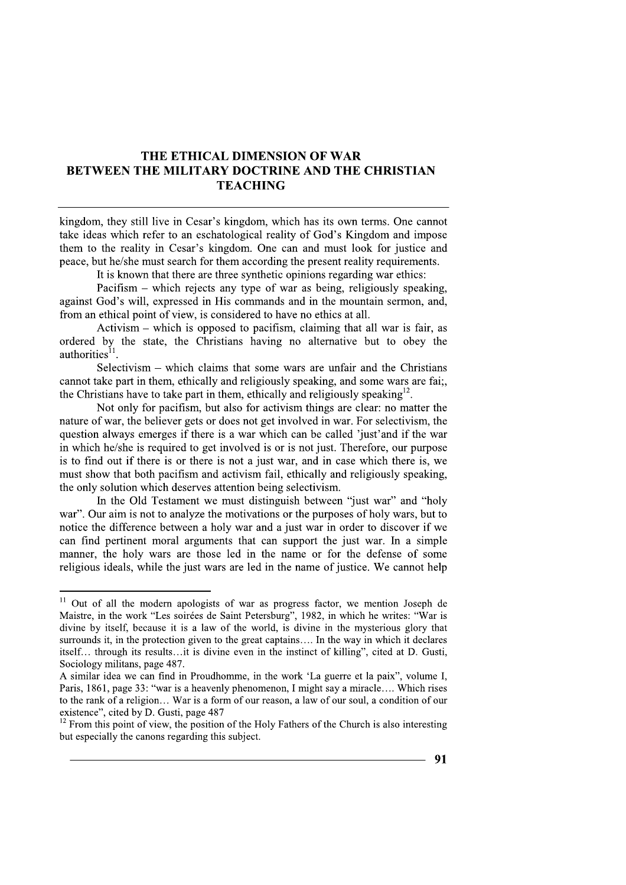### THE ETHICAL DIMENSION OF WAR **BETWEEN THE MILITARY DOCTRINE AND THE CHRISTIAN TEACHING**

kingdom, they still live in Cesar's kingdom, which has its own terms. One cannot take ideas which refer to an eschatological reality of God's Kingdom and impose them to the reality in Cesar's kingdom. One can and must look for justice and peace, but he/she must search for them according the present reality requirements.

It is known that there are three synthetic opinions regarding war ethics:

Pacifism – which rejects any type of war as being, religiously speaking, against God's will, expressed in His commands and in the mountain sermon, and, from an ethical point of view, is considered to have no ethics at all.

Activism – which is opposed to pacifism, claiming that all war is fair, as ordered by the state, the Christians having no alternative but to obey the authorities<sup>11</sup>.

Selectivism – which claims that some wars are unfair and the Christians cannot take part in them, ethically and religiously speaking, and some wars are fai. the Christians have to take part in them, ethically and religiously speaking<sup>12</sup>.

Not only for pacifism, but also for activism things are clear: no matter the nature of war, the believer gets or does not get involved in war. For selectivism, the question always emerges if there is a war which can be called 'just' and if the war in which he/she is required to get involved is or is not just. Therefore, our purpose is to find out if there is or there is not a just war, and in case which there is, we must show that both pacifism and activism fail, ethically and religiously speaking, the only solution which deserves attention being selectivism.

In the Old Testament we must distinguish between "just war" and "holy war". Our aim is not to analyze the motivations or the purposes of holy wars, but to notice the difference between a holy war and a just war in order to discover if we can find pertinent moral arguments that can support the just war. In a simple manner, the holy wars are those led in the name or for the defense of some religious ideals, while the just wars are led in the name of justice. We cannot help

<sup>&</sup>lt;sup>11</sup> Out of all the modern apologists of war as progress factor, we mention Joseph de Maistre, in the work "Les soirées de Saint Petersburg", 1982, in which he writes: "War is divine by itself, because it is a law of the world, is divine in the mysterious glory that surrounds it, in the protection given to the great captains.... In the way in which it declares itself... through its results...it is divine even in the instinct of killing", cited at D. Gusti. Sociology militans, page 487.

A similar idea we can find in Proudhomme, in the work 'La guerre et la paix'', volume I, Paris, 1861, page 33: "war is a heavenly phenomenon. I might say a miracle..., Which rises to the rank of a religion... War is a form of our reason, a law of our soul, a condition of our existence", cited by D. Gusti, page 487

 $12$  From this point of view, the position of the Holy Fathers of the Church is also interesting but especially the canons regarding this subject.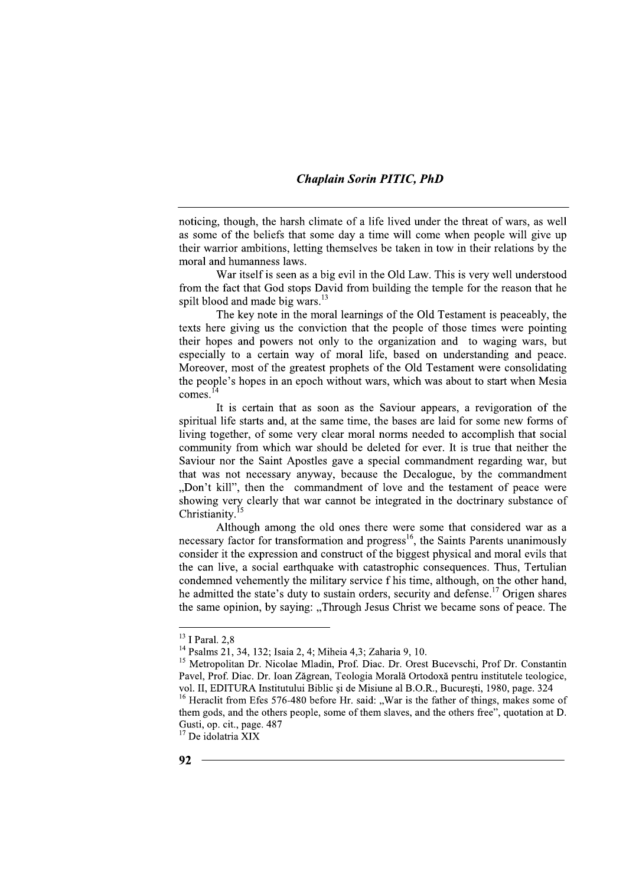noticing, though, the harsh climate of a life lived under the threat of wars, as well as some of the beliefs that some day a time will come when people will give up their warrior ambitions, letting themselves be taken in tow in their relations by the moral and humanness laws.

War itself is seen as a big evil in the Old Law. This is very well understood from the fact that God stops David from building the temple for the reason that he spilt blood and made big wars.<sup>13</sup>

The key note in the moral learnings of the Old Testament is peaceably, the texts here giving us the conviction that the people of those times were pointing their hopes and powers not only to the organization and to waging wars, but especially to a certain way of moral life, based on understanding and peace. Moreover, most of the greatest prophets of the Old Testament were consolidating the people's hopes in an epoch without wars, which was about to start when Mesia comes. $14$ 

It is certain that as soon as the Saviour appears, a revigoration of the spiritual life starts and, at the same time, the bases are laid for some new forms of living together, of some very clear moral norms needed to accomplish that social community from which war should be deleted for ever. It is true that neither the Saviour nor the Saint Apostles gave a special commandment regarding war, but that was not necessary anyway, because the Decalogue, by the commandment "Don't kill", then the commandment of love and the testament of peace were showing very clearly that war cannot be integrated in the doctrinary substance of Christianity.<sup>15</sup>

Although among the old ones there were some that considered war as a necessary factor for transformation and progress<sup>16</sup>, the Saints Parents unanimously consider it the expression and construct of the biggest physical and moral evils that the can live, a social earthquake with catastrophic consequences. Thus, Tertulian condemned vehemently the military service f his time, although, on the other hand, he admitted the state's duty to sustain orders, security and defense.<sup>17</sup> Origen shares the same opinion, by saying: "Through Jesus Christ we became sons of peace. The

<sup>&</sup>lt;sup>13</sup> I Paral. 2,8

<sup>&</sup>lt;sup>14</sup> Psalms 21, 34, 132; Isaia 2, 4; Miheia 4,3; Zaharia 9, 10.

<sup>&</sup>lt;sup>15</sup> Metropolitan Dr. Nicolae Mladin, Prof. Diac. Dr. Orest Bucevschi, Prof Dr. Constantin Pavel, Prof. Diac. Dr. Ioan Zăgrean. Teologia Morală Ortodoxă pentru institutele teologice. vol. II. EDITURA Institutului Biblic si de Misiune al B.O.R., Bucuresti, 1980, page, 324

<sup>&</sup>lt;sup>16</sup> Heraclit from Efes 576-480 before Hr. said: "War is the father of things, makes some of them gods, and the others people, some of them slaves, and the others free", quotation at D. Gusti, op. cit., page. 487

<sup>&</sup>lt;sup>17</sup> De idolatria XIX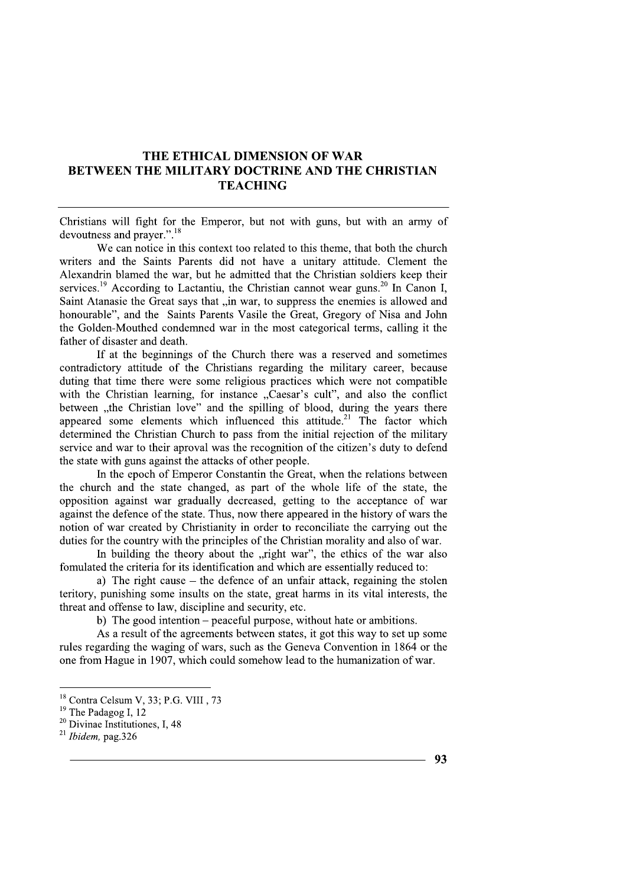### THE ETHICAL DIMENSION OF WAR BETWEEN THE MILITARY DOCTRINE AND THE CHRISTIAN **TEACHING**

Christians will fight for the Emperor, but not with guns, but with an army of devoutness and prayer.".<sup>18</sup>

We can notice in this context too related to this theme, that both the church writers and the Saints Parents did not have a unitary attitude. Clement the Alexandrin blamed the war, but he admitted that the Christian soldiers keep their services.<sup>19</sup> According to Lactantiu, the Christian cannot wear guns.<sup>20</sup> In Canon I, Saint Atanasie the Great says that "in war, to suppress the enemies is allowed and honourable", and the Saints Parents Vasile the Great, Gregory of Nisa and John the Golden-Mouthed condemned war in the most categorical terms, calling it the father of disaster and death.

If at the beginnings of the Church there was a reserved and sometimes contradictory attitude of the Christians regarding the military career, because duting that time there were some religious practices which were not compatible with the Christian learning, for instance "Caesar's cult", and also the conflict between "the Christian love" and the spilling of blood, during the years there appeared some elements which influenced this attitude.<sup>21</sup> The factor which determined the Christian Church to pass from the initial rejection of the military service and war to their aproval was the recognition of the citizen's duty to defend the state with guns against the attacks of other people.

In the epoch of Emperor Constantin the Great, when the relations between the church and the state changed, as part of the whole life of the state, the opposition against war gradually decreased, getting to the acceptance of war against the defence of the state. Thus, now there appeared in the history of wars the notion of war created by Christianity in order to reconciliate the carrying out the duties for the country with the principles of the Christian morality and also of war.

In building the theory about the "right war", the ethics of the war also fomulated the criteria for its identification and which are essentially reduced to:

a) The right cause  $-$  the defence of an unfair attack, regaining the stolen teritory, punishing some insults on the state, great harms in its vital interests, the threat and offense to law, discipline and security, etc.

b) The good intention – peaceful purpose, without hate or ambitions.

As a result of the agreements between states, it got this way to set up some rules regarding the waging of wars, such as the Geneva Convention in 1864 or the one from Hague in 1907, which could somehow lead to the humanization of war.

<sup>&</sup>lt;sup>18</sup> Contra Celsum V, 33; P.G. VIII, 73

 $19$  The Padagog I, 12

<sup>&</sup>lt;sup>20</sup> Divinae Institutiones, I, 48

 $21$  Ibidem, pag. 326